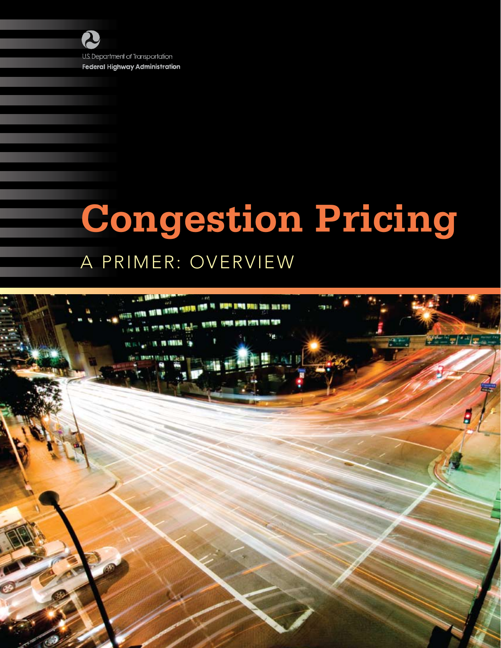

# **Congestion Pricing** A Primer: Overview

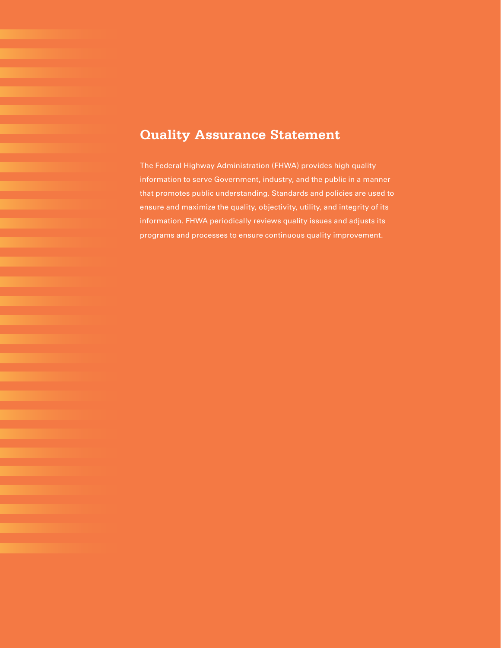# **Quality Assurance Statement**

The Federal Highway Administration (FHWA) provides high quality information to serve Government, industry, and the public in a manner that promotes public understanding. Standards and policies are used to ensure and maximize the quality, objectivity, utility, and integrity of its information. FHWA periodically reviews quality issues and adjusts its programs and processes to ensure continuous quality improvement.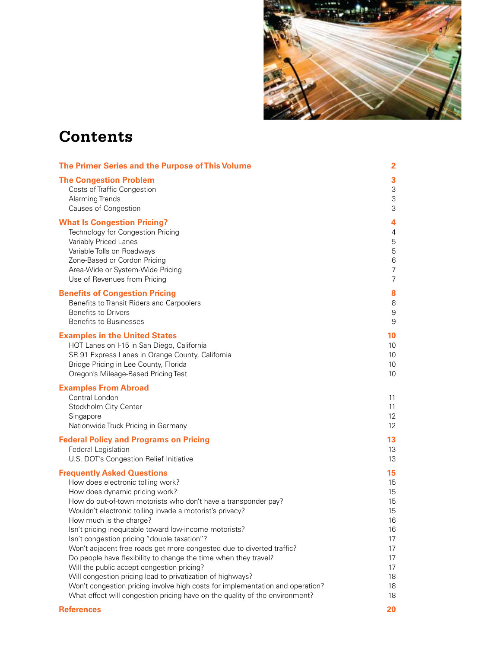

# **Contents**

| The Primer Series and the Purpose of This Volume                                                                                                                                                                                                                                                                                                                                                                                                                                                                                                                                                                                                                                                                                                                                                   | $\overline{2}$                                                             |
|----------------------------------------------------------------------------------------------------------------------------------------------------------------------------------------------------------------------------------------------------------------------------------------------------------------------------------------------------------------------------------------------------------------------------------------------------------------------------------------------------------------------------------------------------------------------------------------------------------------------------------------------------------------------------------------------------------------------------------------------------------------------------------------------------|----------------------------------------------------------------------------|
| <b>The Congestion Problem</b>                                                                                                                                                                                                                                                                                                                                                                                                                                                                                                                                                                                                                                                                                                                                                                      | 3                                                                          |
| Costs of Traffic Congestion                                                                                                                                                                                                                                                                                                                                                                                                                                                                                                                                                                                                                                                                                                                                                                        | $\ensuremath{\mathsf{3}}$                                                  |
| Alarming Trends                                                                                                                                                                                                                                                                                                                                                                                                                                                                                                                                                                                                                                                                                                                                                                                    | 3                                                                          |
| Causes of Congestion                                                                                                                                                                                                                                                                                                                                                                                                                                                                                                                                                                                                                                                                                                                                                                               | $\mathsf 3$                                                                |
| <b>What Is Congestion Pricing?</b>                                                                                                                                                                                                                                                                                                                                                                                                                                                                                                                                                                                                                                                                                                                                                                 | 4                                                                          |
| Technology for Congestion Pricing                                                                                                                                                                                                                                                                                                                                                                                                                                                                                                                                                                                                                                                                                                                                                                  | $\overline{4}$                                                             |
| Variably Priced Lanes                                                                                                                                                                                                                                                                                                                                                                                                                                                                                                                                                                                                                                                                                                                                                                              | 5                                                                          |
| Variable Tolls on Roadways                                                                                                                                                                                                                                                                                                                                                                                                                                                                                                                                                                                                                                                                                                                                                                         | $\mathbf 5$                                                                |
| Zone-Based or Cordon Pricing                                                                                                                                                                                                                                                                                                                                                                                                                                                                                                                                                                                                                                                                                                                                                                       | 6                                                                          |
| Area-Wide or System-Wide Pricing                                                                                                                                                                                                                                                                                                                                                                                                                                                                                                                                                                                                                                                                                                                                                                   | $\overline{7}$                                                             |
| Use of Revenues from Pricing                                                                                                                                                                                                                                                                                                                                                                                                                                                                                                                                                                                                                                                                                                                                                                       | $\overline{7}$                                                             |
| <b>Benefits of Congestion Pricing</b>                                                                                                                                                                                                                                                                                                                                                                                                                                                                                                                                                                                                                                                                                                                                                              | 8                                                                          |
| Benefits to Transit Riders and Carpoolers                                                                                                                                                                                                                                                                                                                                                                                                                                                                                                                                                                                                                                                                                                                                                          | 8                                                                          |
| <b>Benefits to Drivers</b>                                                                                                                                                                                                                                                                                                                                                                                                                                                                                                                                                                                                                                                                                                                                                                         | $9\,$                                                                      |
| <b>Benefits to Businesses</b>                                                                                                                                                                                                                                                                                                                                                                                                                                                                                                                                                                                                                                                                                                                                                                      | 9                                                                          |
| <b>Examples in the United States</b>                                                                                                                                                                                                                                                                                                                                                                                                                                                                                                                                                                                                                                                                                                                                                               | 10                                                                         |
| HOT Lanes on I-15 in San Diego, California                                                                                                                                                                                                                                                                                                                                                                                                                                                                                                                                                                                                                                                                                                                                                         | 10                                                                         |
| SR 91 Express Lanes in Orange County, California                                                                                                                                                                                                                                                                                                                                                                                                                                                                                                                                                                                                                                                                                                                                                   | 10                                                                         |
| Bridge Pricing in Lee County, Florida                                                                                                                                                                                                                                                                                                                                                                                                                                                                                                                                                                                                                                                                                                                                                              | 10                                                                         |
| Oregon's Mileage-Based Pricing Test                                                                                                                                                                                                                                                                                                                                                                                                                                                                                                                                                                                                                                                                                                                                                                | 10                                                                         |
| <b>Examples From Abroad</b><br>Central London<br>Stockholm City Center<br>Singapore<br>Nationwide Truck Pricing in Germany                                                                                                                                                                                                                                                                                                                                                                                                                                                                                                                                                                                                                                                                         | 11<br>11<br>12<br>12                                                       |
| <b>Federal Policy and Programs on Pricing</b>                                                                                                                                                                                                                                                                                                                                                                                                                                                                                                                                                                                                                                                                                                                                                      | 13                                                                         |
| Federal Legislation                                                                                                                                                                                                                                                                                                                                                                                                                                                                                                                                                                                                                                                                                                                                                                                | 13                                                                         |
| U.S. DOT's Congestion Relief Initiative                                                                                                                                                                                                                                                                                                                                                                                                                                                                                                                                                                                                                                                                                                                                                            | 13                                                                         |
| <b>Frequently Asked Questions</b><br>How does electronic tolling work?<br>How does dynamic pricing work?<br>How do out-of-town motorists who don't have a transponder pay?<br>Wouldn't electronic tolling invade a motorist's privacy?<br>How much is the charge?<br>Isn't pricing inequitable toward low-income motorists?<br>Isn't congestion pricing "double taxation"?<br>Won't adjacent free roads get more congested due to diverted traffic?<br>Do people have flexibility to change the time when they travel?<br>Will the public accept congestion pricing?<br>Will congestion pricing lead to privatization of highways?<br>Won't congestion pricing involve high costs for implementation and operation?<br>What effect will congestion pricing have on the quality of the environment? | 15<br>15<br>15<br>15<br>15<br>16<br>16<br>17<br>17<br>17<br>17<br>18<br>18 |
| <b>References</b>                                                                                                                                                                                                                                                                                                                                                                                                                                                                                                                                                                                                                                                                                                                                                                                  | 18<br>20                                                                   |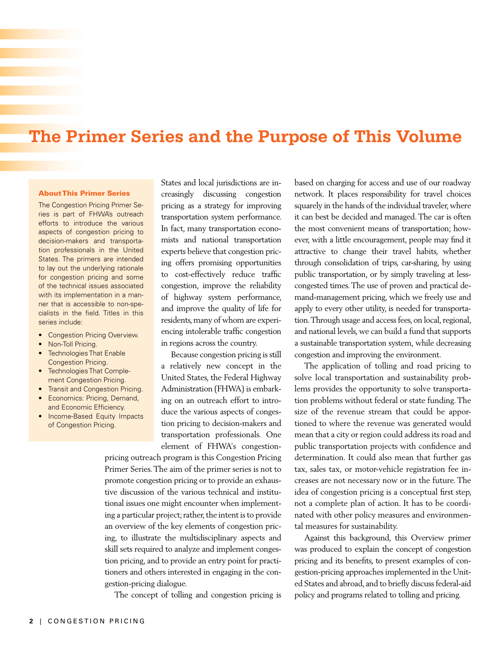# **The Primer Series and the Purpose of This Volume**

#### About This Primer Series

The Congestion Pricing Primer Series is part of FHWA's outreach efforts to introduce the various aspects of congestion pricing to decision-makers and transportation professionals in the United States. The primers are intended to lay out the underlying rationale for congestion pricing and some of the technical issues associated with its implementation in a manner that is accessible to non-specialists in the field. Titles in this series include:

- Congestion Pricing Overview.
- Non-Toll Pricing.
- Technologies That Enable Congestion Pricing.
- Technologies That Complement Congestion Pricing.
- Transit and Congestion Pricing. • Economics: Pricing, Demand,
- and Economic Efficiency. • Income-Based Equity Impacts of Congestion Pricing.

States and local jurisdictions are increasingly discussing congestion pricing as a strategy for improving transportation system performance. In fact, many transportation economists and national transportation experts believe that congestion pricing offers promising opportunities to cost-effectively reduce traffic congestion, improve the reliability of highway system performance, and improve the quality of life for residents, many of whom are experiencing intolerable traffic congestion in regions across the country.

Because congestion pricing is still a relatively new concept in the United States, the Federal Highway Administration (FHWA) is embarking on an outreach effort to introduce the various aspects of congestion pricing to decision-makers and transportation professionals. One element of FHWA's congestion-

pricing outreach program is this Congestion Pricing Primer Series. The aim of the primer series is not to promote congestion pricing or to provide an exhaustive discussion of the various technical and institutional issues one might encounter when implementing a particular project; rather, the intent is to provide an overview of the key elements of congestion pricing, to illustrate the multidisciplinary aspects and skill sets required to analyze and implement congestion pricing, and to provide an entry point for practitioners and others interested in engaging in the congestion-pricing dialogue.

The concept of tolling and congestion pricing is

based on charging for access and use of our roadway network. It places responsibility for travel choices squarely in the hands of the individual traveler, where it can best be decided and managed. The car is often the most convenient means of transportation; however, with a little encouragement, people may find it attractive to change their travel habits, whether through consolidation of trips, car-sharing, by using public transportation, or by simply traveling at lesscongested times. The use of proven and practical demand-management pricing, which we freely use and apply to every other utility, is needed for transportation. Through usage and access fees, on local, regional, and national levels, we can build a fund that supports a sustainable transportation system, while decreasing congestion and improving the environment.

The application of tolling and road pricing to solve local transportation and sustainability problems provides the opportunity to solve transportation problems without federal or state funding. The size of the revenue stream that could be apportioned to where the revenue was generated would mean that a city or region could address its road and public transportation projects with confidence and determination. It could also mean that further gas tax, sales tax, or motor-vehicle registration fee increases are not necessary now or in the future. The idea of congestion pricing is a conceptual first step, not a complete plan of action. It has to be coordinated with other policy measures and environmental measures for sustainability.

Against this background, this Overview primer was produced to explain the concept of congestion pricing and its benefits, to present examples of congestion-pricing approaches implemented in the United States and abroad, and to briefly discuss federal-aid policy and programs related to tolling and pricing.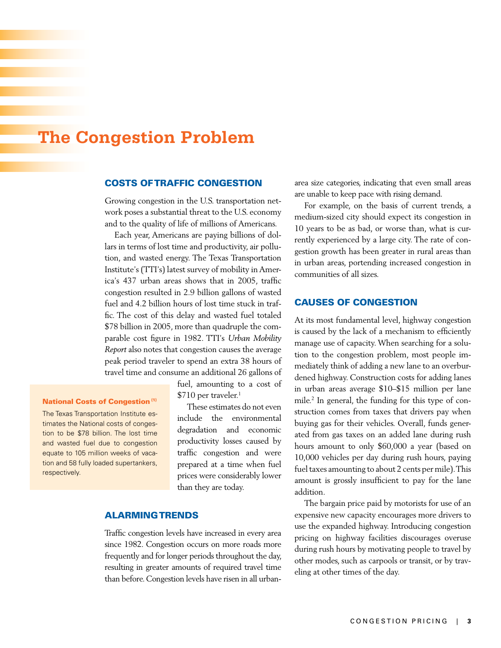# **The Congestion Problem**

#### Costs of Traffic Congestion

Growing congestion in the U.S. transportation network poses a substantial threat to the U.S. economy and to the quality of life of millions of Americans.

Each year, Americans are paying billions of dollars in terms of lost time and productivity, air pollution, and wasted energy. The Texas Transportation Institute's (TTI's) latest survey of mobility in America's 437 urban areas shows that in 2005, traffic congestion resulted in 2.9 billion gallons of wasted fuel and 4.2 billion hours of lost time stuck in traffic. The cost of this delay and wasted fuel totaled \$78 billion in 2005, more than quadruple the comparable cost figure in 1982. TTI's *Urban Mobility Report* also notes that congestion causes the average peak period traveler to spend an extra 38 hours of travel time and consume an additional 26 gallons of

#### National Costs of Congestion (1)

The Texas Transportation Institute estimates the National costs of congestion to be \$78 billion. The lost time and wasted fuel due to congestion equate to 105 million weeks of vacation and 58 fully loaded supertankers, respectively.

fuel, amounting to a cost of \$710 per traveler.<sup>1</sup>

These estimates do not even include the environmental degradation and economic productivity losses caused by traffic congestion and were prepared at a time when fuel prices were considerably lower than they are today.

### Alarming Trends

Traffic congestion levels have increased in every area since 1982. Congestion occurs on more roads more frequently and for longer periods throughout the day, resulting in greater amounts of required travel time than before. Congestion levels have risen in all urbanarea size categories, indicating that even small areas are unable to keep pace with rising demand.

For example, on the basis of current trends, a medium-sized city should expect its congestion in 10 years to be as bad, or worse than, what is currently experienced by a large city. The rate of congestion growth has been greater in rural areas than in urban areas, portending increased congestion in communities of all sizes.

### Causes of Congestion

At its most fundamental level, highway congestion is caused by the lack of a mechanism to efficiently manage use of capacity. When searching for a solution to the congestion problem, most people immediately think of adding a new lane to an overburdened highway. Construction costs for adding lanes in urban areas average \$10–\$15 million per lane mile.2 In general, the funding for this type of construction comes from taxes that drivers pay when buying gas for their vehicles. Overall, funds generated from gas taxes on an added lane during rush hours amount to only \$60,000 a year (based on 10,000 vehicles per day during rush hours, paying fuel taxes amounting to about 2 cents per mile).This amount is grossly insufficient to pay for the lane addition.

The bargain price paid by motorists for use of an expensive new capacity encourages more drivers to use the expanded highway. Introducing congestion pricing on highway facilities discourages overuse during rush hours by motivating people to travel by other modes, such as carpools or transit, or by traveling at other times of the day.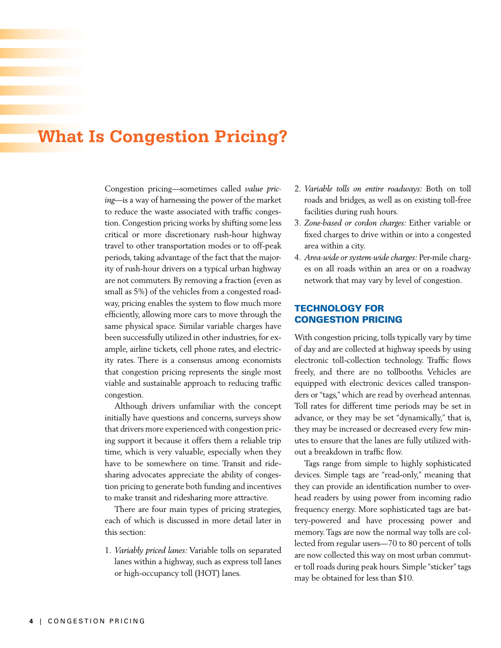# **What Is Congestion Pricing?**

Congestion pricing—sometimes called *value pricing*—is a way of harnessing the power of the market to reduce the waste associated with traffic congestion. Congestion pricing works by shifting some less critical or more discretionary rush-hour highway travel to other transportation modes or to off-peak periods, taking advantage of the fact that the majority of rush-hour drivers on a typical urban highway are not commuters. By removing a fraction (even as small as 5%) of the vehicles from a congested roadway, pricing enables the system to flow much more efficiently, allowing more cars to move through the same physical space. Similar variable charges have been successfully utilized in other industries, for example, airline tickets, cell phone rates, and electricity rates. There is a consensus among economists that congestion pricing represents the single most viable and sustainable approach to reducing traffic congestion.

Although drivers unfamiliar with the concept initially have questions and concerns, surveys show that drivers more experienced with congestion pricing support it because it offers them a reliable trip time, which is very valuable, especially when they have to be somewhere on time. Transit and ridesharing advocates appreciate the ability of congestion pricing to generate both funding and incentives to make transit and ridesharing more attractive.

There are four main types of pricing strategies, each of which is discussed in more detail later in this section:

1. *Variably priced lanes:* Variable tolls on separated lanes within a highway, such as express toll lanes or high-occupancy toll (HOT) lanes.

- 2. *Variable tolls on entire roadways:* Both on toll roads and bridges, as well as on existing toll-free facilities during rush hours.
- 3. *Zone-based or cordon charges:* Either variable or fixed charges to drive within or into a congested area within a city.
- 4. *Area-wide or system-wide charges:* Per-mile charges on all roads within an area or on a roadway network that may vary by level of congestion.

# Technology for **CONGESTION PRICING**

With congestion pricing, tolls typically vary by time of day and are collected at highway speeds by using electronic toll-collection technology. Traffic flows freely, and there are no tollbooths. Vehicles are equipped with electronic devices called transponders or "tags," which are read by overhead antennas. Toll rates for different time periods may be set in advance, or they may be set "dynamically," that is, they may be increased or decreased every few minutes to ensure that the lanes are fully utilized without a breakdown in traffic flow.

Tags range from simple to highly sophisticated devices. Simple tags are "read-only," meaning that they can provide an identification number to overhead readers by using power from incoming radio frequency energy. More sophisticated tags are battery-powered and have processing power and memory. Tags are now the normal way tolls are collected from regular users—70 to 80 percent of tolls are now collected this way on most urban commuter toll roads during peak hours. Simple "sticker" tags may be obtained for less than \$10.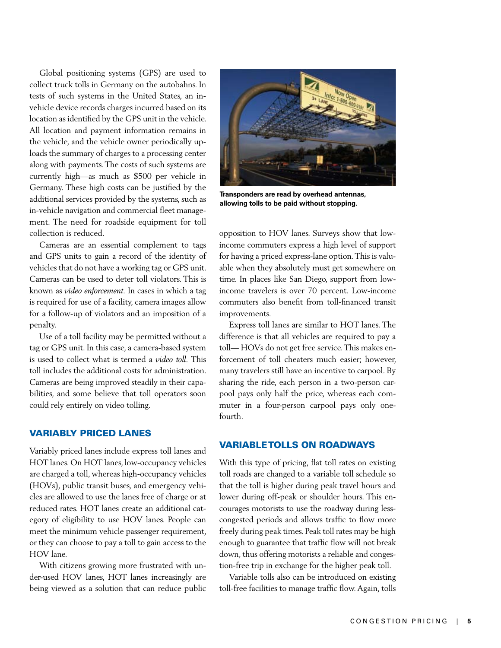Global positioning systems (GPS) are used to collect truck tolls in Germany on the autobahns. In tests of such systems in the United States, an invehicle device records charges incurred based on its location as identified by the GPS unit in the vehicle. All location and payment information remains in the vehicle, and the vehicle owner periodically uploads the summary of charges to a processing center along with payments. The costs of such systems are currently high—as much as \$500 per vehicle in Germany. These high costs can be justified by the additional services provided by the systems, such as in-vehicle navigation and commercial fleet management. The need for roadside equipment for toll collection is reduced.

Cameras are an essential complement to tags and GPS units to gain a record of the identity of vehicles that do not have a working tag or GPS unit. Cameras can be used to deter toll violators. This is known as *video enforcement.* In cases in which a tag is required for use of a facility, camera images allow for a follow-up of violators and an imposition of a penalty.

Use of a toll facility may be permitted without a tag or GPS unit. In this case, a camera-based system is used to collect what is termed a *video toll.* This toll includes the additional costs for administration. Cameras are being improved steadily in their capabilities, and some believe that toll operators soon could rely entirely on video tolling.

### Variably Priced Lanes

Variably priced lanes include express toll lanes and HOT lanes. On HOT lanes, low-occupancy vehicles are charged a toll, whereas high-occupancy vehicles (HOVs), public transit buses, and emergency vehicles are allowed to use the lanes free of charge or at reduced rates. HOT lanes create an additional category of eligibility to use HOV lanes. People can meet the minimum vehicle passenger requirement, or they can choose to pay a toll to gain access to the HOV lane.

With citizens growing more frustrated with under-used HOV lanes, HOT lanes increasingly are being viewed as a solution that can reduce public



**Transponders are read by overhead antennas, allowing tolls to be paid without stopping.**

opposition to HOV lanes. Surveys show that lowincome commuters express a high level of support for having a priced express-lane option. This is valuable when they absolutely must get somewhere on time. In places like San Diego, support from lowincome travelers is over 70 percent. Low-income commuters also benefit from toll-financed transit improvements.

Express toll lanes are similar to HOT lanes. The difference is that all vehicles are required to pay a toll— HOVs do not get free service. This makes enforcement of toll cheaters much easier; however, many travelers still have an incentive to carpool. By sharing the ride, each person in a two-person carpool pays only half the price, whereas each commuter in a four-person carpool pays only onefourth.

### Variable Tolls on Roadways

With this type of pricing, flat toll rates on existing toll roads are changed to a variable toll schedule so that the toll is higher during peak travel hours and lower during off-peak or shoulder hours. This encourages motorists to use the roadway during lesscongested periods and allows traffic to flow more freely during peak times. Peak toll rates may be high enough to guarantee that traffic flow will not break down, thus offering motorists a reliable and congestion-free trip in exchange for the higher peak toll.

Variable tolls also can be introduced on existing toll-free facilities to manage traffic flow. Again, tolls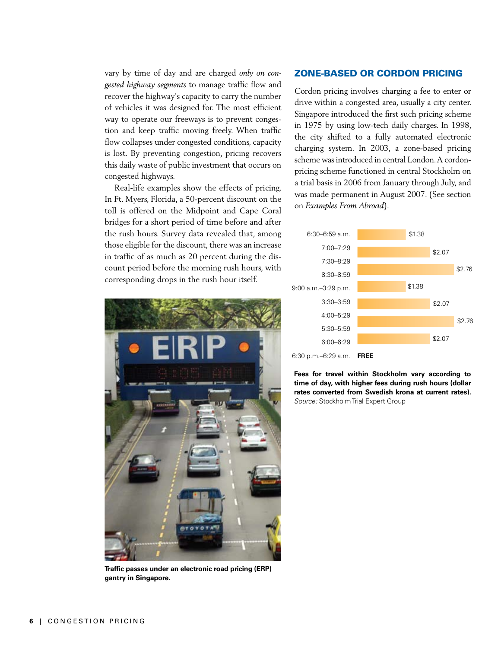vary by time of day and are charged *only on congested highway segments* to manage traffic flow and recover the highway's capacity to carry the number of vehicles it was designed for. The most efficient way to operate our freeways is to prevent congestion and keep traffic moving freely. When traffic flow collapses under congested conditions, capacity is lost. By preventing congestion, pricing recovers this daily waste of public investment that occurs on congested highways.

Real-life examples show the effects of pricing. In Ft. Myers, Florida, a 50-percent discount on the toll is offered on the Midpoint and Cape Coral bridges for a short period of time before and after the rush hours. Survey data revealed that, among those eligible for the discount, there was an increase in traffic of as much as 20 percent during the discount period before the morning rush hours, with corresponding drops in the rush hour itself.



**Traffic passes under an electronic road pricing (ERP) gantry in Singapore.**

## Zone-Based or Cordon Pricing

Cordon pricing involves charging a fee to enter or drive within a congested area, usually a city center. Singapore introduced the first such pricing scheme in 1975 by using low-tech daily charges. In 1998, the city shifted to a fully automated electronic charging system. In 2003, a zone-based pricing scheme was introduced in central London. A cordonpricing scheme functioned in central Stockholm on a trial basis in 2006 from January through July, and was made permanent in August 2007. (See section on *Examples From Abroad*).



**Fees for travel within Stockholm vary according to time of day, with higher fees during rush hours (dollar rates converted from Swedish krona at current rates).**

*Source:* Stockholm Trial Expert Group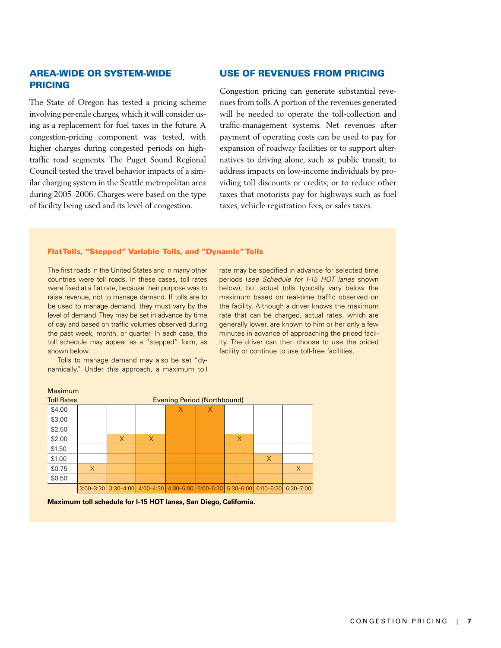# Area-Wide or System-Wide **PRICING**

The State of Oregon has tested a pricing scheme involving per-mile charges, which it will consider using as a replacement for fuel taxes in the future. A congestion-pricing component was tested, with higher charges during congested periods on hightraffic road segments. The Puget Sound Regional Council tested the travel behavior impacts of a similar charging system in the Seattle metropolitan area during 2005–2006. Charges were based on the type of facility being used and its level of congestion.

### Use of Revenues From Pricing

Congestion pricing can generate substantial revenues from tolls. A portion of the revenues generated will be needed to operate the toll-collection and traffic-management systems. Net revenues after payment of operating costs can be used to pay for expansion of roadway facilities or to support alternatives to driving alone, such as public transit; to address impacts on low-income individuals by providing toll discounts or credits; or to reduce other taxes that motorists pay for highways such as fuel taxes, vehicle registration fees, or sales taxes.

#### Flat Tolls, "Stepped" Variable Tolls, and "Dynamic" Tolls

The first roads in the United States and in many other countries were toll roads. In these cases, toll rates were fixed at a flat rate, because their purpose was to raise revenue, not to manage demand. If tolls are to be used to manage demand, they must vary by the level of demand. They may be set in advance by time of day and based on traffic volumes observed during the past week, month, or quarter. In each case, the toll schedule may appear as a "stepped" form, as shown below.

Tolls to manage demand may also be set "dynamically." Under this approach, a maximum toll rate may be specified in advance for selected time periods (*see Schedule for I-15 HOT lanes* shown below), but actual tolls typically vary below the maximum based on real-time traffic observed on the facility. Although a driver knows the maximum rate that can be charged, actual rates, which are generally lower, are known to him or her only a few minutes in advance of approaching the priced facility. The driver can then choose to use the priced facility or continue to use toll-free facilities.

Maximum

| <b>Toll Rates</b> |   | <b>Evening Period (Northbound)</b> |   |                                                                                                 |  |   |              |  |
|-------------------|---|------------------------------------|---|-------------------------------------------------------------------------------------------------|--|---|--------------|--|
| \$4.00            |   |                                    |   |                                                                                                 |  |   |              |  |
| \$3.00            |   |                                    |   |                                                                                                 |  |   |              |  |
| \$2.50            |   |                                    |   |                                                                                                 |  |   |              |  |
| \$2.00            |   | $\times$                           | X |                                                                                                 |  | X |              |  |
| \$1.50            |   |                                    |   |                                                                                                 |  |   |              |  |
| \$1.00            |   |                                    |   |                                                                                                 |  |   | $\mathsf{X}$ |  |
| \$0.75            | X |                                    |   |                                                                                                 |  |   |              |  |
| \$0.50            |   |                                    |   |                                                                                                 |  |   |              |  |
|                   |   |                                    |   | $3:00-3:30$ $3:30-4:00$ $4:00-4:30$ $4:30-5:00$ $5:00-5:30$ $5:30-6:00$ $6:00-6:30$ $6:30-7:00$ |  |   |              |  |

**Maximum toll schedule for I-15 HOT lanes, San Diego, California.**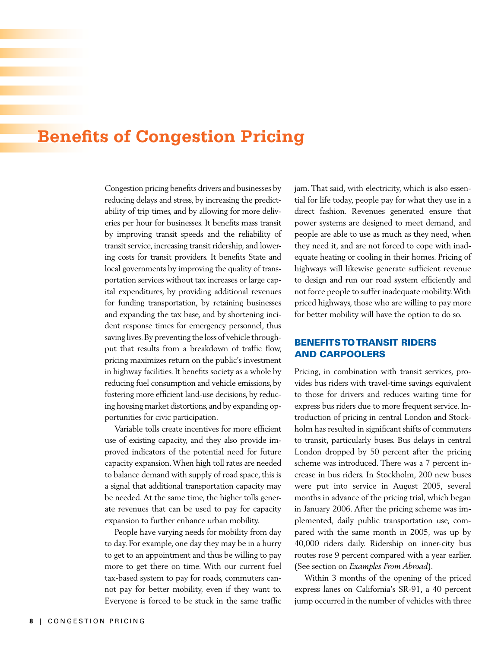# **Benefits of Congestion Pricing**

Congestion pricing benefits drivers and businesses by reducing delays and stress, by increasing the predictability of trip times, and by allowing for more deliveries per hour for businesses. It benefits mass transit by improving transit speeds and the reliability of transit service, increasing transit ridership, and lowering costs for transit providers. It benefits State and local governments by improving the quality of transportation services without tax increases or large capital expenditures, by providing additional revenues for funding transportation, by retaining businesses and expanding the tax base, and by shortening incident response times for emergency personnel, thus saving lives. By preventing the loss of vehicle throughput that results from a breakdown of traffic flow, pricing maximizes return on the public's investment in highway facilities. It benefits society as a whole by reducing fuel consumption and vehicle emissions, by fostering more efficient land-use decisions, by reducing housing market distortions, and by expanding opportunities for civic participation.

Variable tolls create incentives for more efficient use of existing capacity, and they also provide improved indicators of the potential need for future capacity expansion. When high toll rates are needed to balance demand with supply of road space, this is a signal that additional transportation capacity may be needed. At the same time, the higher tolls generate revenues that can be used to pay for capacity expansion to further enhance urban mobility.

People have varying needs for mobility from day to day. For example, one day they may be in a hurry to get to an appointment and thus be willing to pay more to get there on time. With our current fuel tax-based system to pay for roads, commuters cannot pay for better mobility, even if they want to. Everyone is forced to be stuck in the same traffic jam. That said, with electricity, which is also essential for life today, people pay for what they use in a direct fashion. Revenues generated ensure that power systems are designed to meet demand, and people are able to use as much as they need, when they need it, and are not forced to cope with inadequate heating or cooling in their homes. Pricing of highways will likewise generate sufficient revenue to design and run our road system efficiently and not force people to suffer inadequate mobility. With priced highways, those who are willing to pay more for better mobility will have the option to do so.

# **BENEFITS TO TRANSIT RIDERS** and Carpoolers

Pricing, in combination with transit services, provides bus riders with travel-time savings equivalent to those for drivers and reduces waiting time for express bus riders due to more frequent service. Introduction of pricing in central London and Stockholm has resulted in significant shifts of commuters to transit, particularly buses. Bus delays in central London dropped by 50 percent after the pricing scheme was introduced. There was a 7 percent increase in bus riders. In Stockholm, 200 new buses were put into service in August 2005, several months in advance of the pricing trial, which began in January 2006. After the pricing scheme was implemented, daily public transportation use, compared with the same month in 2005, was up by 40,000 riders daily. Ridership on inner-city bus routes rose 9 percent compared with a year earlier. (See section on *Examples From Abroad*).

Within 3 months of the opening of the priced express lanes on California's SR-91, a 40 percent jump occurred in the number of vehicles with three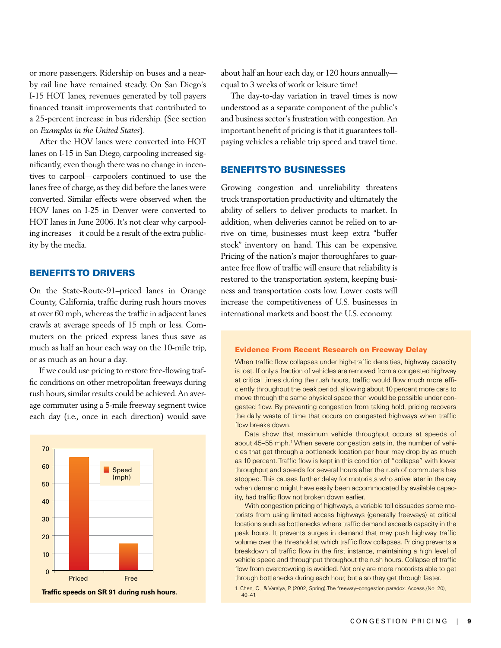or more passengers. Ridership on buses and a nearby rail line have remained steady. On San Diego's I-15 HOT lanes, revenues generated by toll payers financed transit improvements that contributed to a 25-percent increase in bus ridership. (See section on *Examples in the United States*).

After the HOV lanes were converted into HOT lanes on I-15 in San Diego, carpooling increased significantly, even though there was no change in incentives to carpool—carpoolers continued to use the lanes free of charge, as they did before the lanes were converted. Similar effects were observed when the HOV lanes on I-25 in Denver were converted to HOT lanes in June 2006. It's not clear why carpooling increases—it could be a result of the extra publicity by the media.

### Benefitsto Drivers

On the State-Route-91–priced lanes in Orange County, California, traffic during rush hours moves at over 60 mph, whereas the traffic in adjacent lanes crawls at average speeds of 15 mph or less. Commuters on the priced express lanes thus save as much as half an hour each way on the 10-mile trip, or as much as an hour a day.

If we could use pricing to restore free-flowing traffic conditions on other metropolitan freeways during rush hours, similar results could be achieved. An average commuter using a 5-mile freeway segment twice each day (i.e., once in each direction) would save



about half an hour each day, or 120 hours annually equal to 3 weeks of work or leisure time!

The day-to-day variation in travel times is now understood as a separate component of the public's and business sector's frustration with congestion. An important benefit of pricing is that it guarantees tollpaying vehicles a reliable trip speed and travel time.

### Benefitsto Businesses

Growing congestion and unreliability threatens truck transportation productivity and ultimately the ability of sellers to deliver products to market. In addition, when deliveries cannot be relied on to arrive on time, businesses must keep extra "buffer stock" inventory on hand. This can be expensive. Pricing of the nation's major thoroughfares to guarantee free flow of traffic will ensure that reliability is restored to the transportation system, keeping business and transportation costs low. Lower costs will increase the competitiveness of U.S. businesses in international markets and boost the U.S. economy.

#### Evidence From Recent Research on Freeway Delay

When traffic flow collapses under high-traffic densities, highway capacity is lost. If only a fraction of vehicles are removed from a congested highway at critical times during the rush hours, traffic would flow much more efficiently throughout the peak period, allowing about 10 percent more cars to move through the same physical space than would be possible under congested flow. By preventing congestion from taking hold, pricing recovers the daily waste of time that occurs on congested highways when traffic flow breaks down.

Data show that maximum vehicle throughput occurs at speeds of about 45–55 mph.<sup>1</sup> When severe congestion sets in, the number of vehicles that get through a bottleneck location per hour may drop by as much as 10 percent. Traffic flow is kept in this condition of "collapse" with lower throughput and speeds for several hours after the rush of commuters has stopped. This causes further delay for motorists who arrive later in the day when demand might have easily been accommodated by available capacity, had traffic flow not broken down earlier.

With congestion pricing of highways, a variable toll dissuades some motorists from using limited access highways (generally freeways) at critical locations such as bottlenecks where traffic demand exceeds capacity in the peak hours. It prevents surges in demand that may push highway traffic volume over the threshold at which traffic flow collapses. Pricing prevents a breakdown of traffic flow in the first instance, maintaining a high level of vehicle speed and throughput throughout the rush hours. Collapse of traffic flow from overcrowding is avoided. Not only are more motorists able to get through bottlenecks during each hour, but also they get through faster.

1. Chen, C., & Varaiya, P. (2002, Spring).The freeway–congestion paradox. Access,(No. 20), 40–41.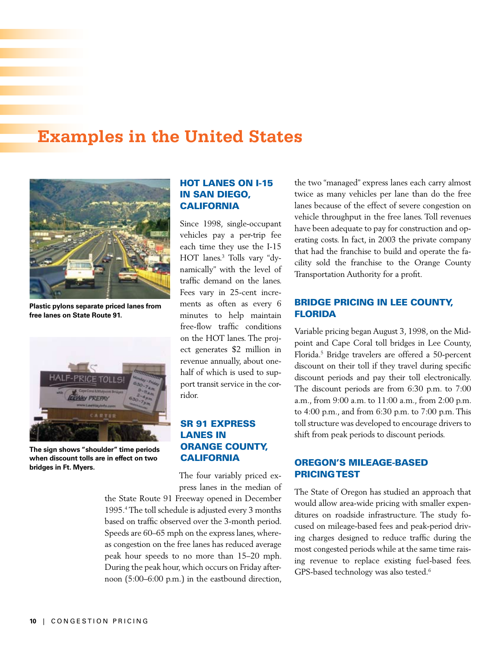# **Examples in the United States**



**Plastic pylons separate priced lanes from free lanes on State Route 91.**



**The sign shows "shoulder" time periods when discount tolls are in effect on two bridges in Ft. Myers.**

# HOT Lanes on I-15 in San Diego, **CALIFORNIA**

Since 1998, single-occupant vehicles pay a per-trip fee each time they use the I-15 HOT lanes.3 Tolls vary "dynamically" with the level of traffic demand on the lanes. Fees vary in 25-cent increments as often as every 6 minutes to help maintain free-flow traffic conditions on the HOT lanes. The project generates \$2 million in revenue annually, about onehalf of which is used to support transit service in the corridor.

# SR 91 Express Lanes in Orange County, **CALIFORNIA**

The four variably priced express lanes in the median of

the State Route 91 Freeway opened in December 1995.4 The toll schedule is adjusted every 3 months based on traffic observed over the 3-month period. Speeds are 60–65 mph on the express lanes, whereas congestion on the free lanes has reduced average peak hour speeds to no more than 15–20 mph. During the peak hour, which occurs on Friday afternoon (5:00–6:00 p.m.) in the eastbound direction,

the two "managed" express lanes each carry almost twice as many vehicles per lane than do the free lanes because of the effect of severe congestion on vehicle throughput in the free lanes. Toll revenues have been adequate to pay for construction and operating costs. In fact, in 2003 the private company that had the franchise to build and operate the facility sold the franchise to the Orange County Transportation Authority for a profit.

# Bridge Pricing in Lee County, **FLORIDA**

Variable pricing began August 3, 1998, on the Midpoint and Cape Coral toll bridges in Lee County, Florida.5 Bridge travelers are offered a 50-percent discount on their toll if they travel during specific discount periods and pay their toll electronically. The discount periods are from 6:30 p.m. to 7:00 a.m., from 9:00 a.m. to 11:00 a.m., from 2:00 p.m. to 4:00 p.m., and from 6:30 p.m. to 7:00 p.m. This toll structure was developed to encourage drivers to shift from peak periods to discount periods.

# Oregon's Mileage-Based Pricing Test

The State of Oregon has studied an approach that would allow area-wide pricing with smaller expenditures on roadside infrastructure. The study focused on mileage-based fees and peak-period driving charges designed to reduce traffic during the most congested periods while at the same time raising revenue to replace existing fuel-based fees. GPS-based technology was also tested.<sup>6</sup>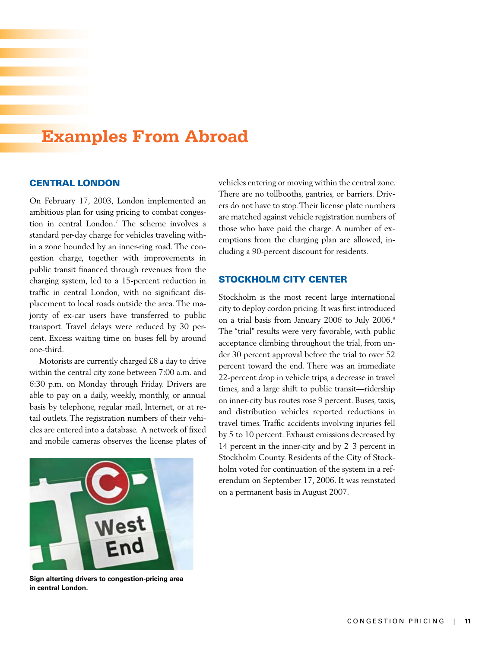# **Examples From Abroad**

#### **CENTRAL LONDON**

On February 17, 2003, London implemented an ambitious plan for using pricing to combat congestion in central London.7 The scheme involves a standard per-day charge for vehicles traveling within a zone bounded by an inner-ring road. The congestion charge, together with improvements in public transit financed through revenues from the charging system, led to a 15-percent reduction in traffic in central London, with no significant displacement to local roads outside the area. The majority of ex-car users have transferred to public transport. Travel delays were reduced by 30 percent. Excess waiting time on buses fell by around one-third.

Motorists are currently charged £8 a day to drive within the central city zone between 7:00 a.m. and 6:30 p.m. on Monday through Friday. Drivers are able to pay on a daily, weekly, monthly, or annual basis by telephone, regular mail, Internet, or at retail outlets. The registration numbers of their vehicles are entered into a database. A network of fixed and mobile cameras observes the license plates of



**Sign alterting drivers to congestion-pricing area in central London.**

vehicles entering or moving within the central zone. There are no tollbooths, gantries, or barriers. Drivers do not have to stop. Their license plate numbers are matched against vehicle registration numbers of those who have paid the charge. A number of exemptions from the charging plan are allowed, including a 90-percent discount for residents.

### Stockholm City Center

Stockholm is the most recent large international city to deploy cordon pricing. It was first introduced on a trial basis from January 2006 to July 2006.8 The "trial" results were very favorable, with public acceptance climbing throughout the trial, from under 30 percent approval before the trial to over 52 percent toward the end. There was an immediate 22-percent drop in vehicle trips, a decrease in travel times, and a large shift to public transit—ridership on inner-city bus routes rose 9 percent. Buses, taxis, and distribution vehicles reported reductions in travel times. Traffic accidents involving injuries fell by 5 to 10 percent. Exhaust emissions decreased by 14 percent in the inner-city and by 2–3 percent in Stockholm County. Residents of the City of Stockholm voted for continuation of the system in a referendum on September 17, 2006. It was reinstated on a permanent basis in August 2007.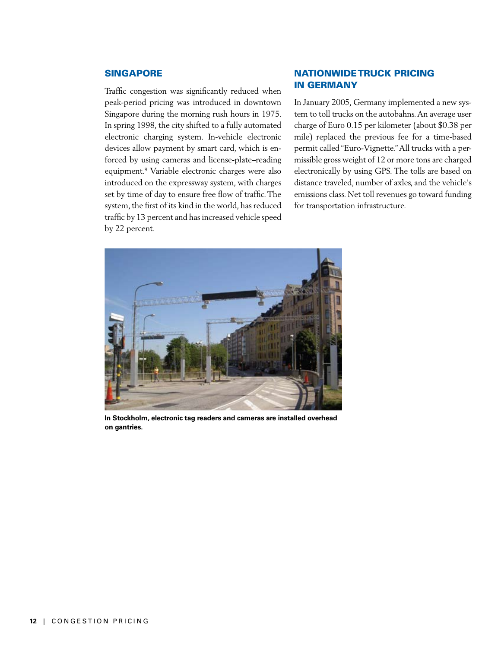# **SINGAPORE**

Traffic congestion was significantly reduced when peak-period pricing was introduced in downtown Singapore during the morning rush hours in 1975. In spring 1998, the city shifted to a fully automated electronic charging system. In-vehicle electronic devices allow payment by smart card, which is enforced by using cameras and license-plate–reading equipment.9 Variable electronic charges were also introduced on the expressway system, with charges set by time of day to ensure free flow of traffic. The system, the first of its kind in the world, has reduced traffic by 13 percent and has increased vehicle speed by 22 percent.

# Nationwide Truck Pricing in Germany

In January 2005, Germany implemented a new system to toll trucks on the autobahns. An average user charge of Euro 0.15 per kilometer (about \$0.38 per mile) replaced the previous fee for a time-based permit called "Euro-Vignette." All trucks with a permissible gross weight of 12 or more tons are charged electronically by using GPS. The tolls are based on distance traveled, number of axles, and the vehicle's emissions class. Net toll revenues go toward funding for transportation infrastructure.



**In Stockholm, electronic tag readers and cameras are installed overhead on gantries.**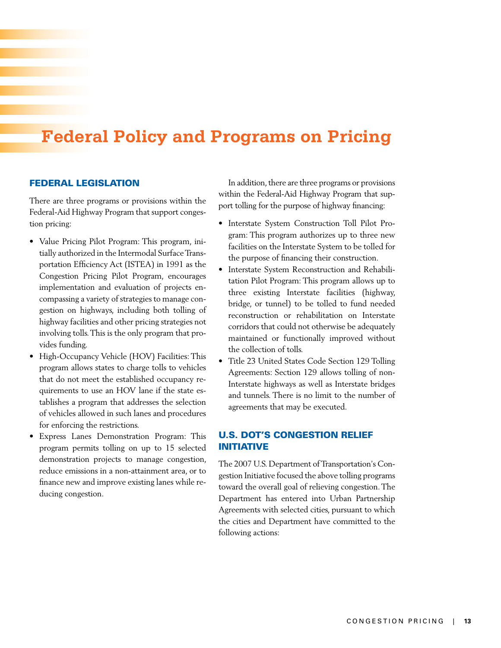# **Federal Policy and Programs on Pricing**

#### Federal Legislation

There are three programs or provisions within the Federal-Aid Highway Program that support congestion pricing:

- Value Pricing Pilot Program: This program, initially authorized in the Intermodal Surface Transportation Efficiency Act (ISTEA) in 1991 as the Congestion Pricing Pilot Program, encourages implementation and evaluation of projects encompassing a variety of strategies to manage congestion on highways, including both tolling of highway facilities and other pricing strategies not involving tolls. This is the only program that provides funding.
- High-Occupancy Vehicle (HOV) Facilities: This program allows states to charge tolls to vehicles that do not meet the established occupancy requirements to use an HOV lane if the state establishes a program that addresses the selection of vehicles allowed in such lanes and procedures for enforcing the restrictions.
- • Express Lanes Demonstration Program: This program permits tolling on up to 15 selected demonstration projects to manage congestion, reduce emissions in a non-attainment area, or to finance new and improve existing lanes while reducing congestion.

In addition, there are three programs or provisions within the Federal-Aid Highway Program that support tolling for the purpose of highway financing:

- • Interstate System Construction Toll Pilot Program: This program authorizes up to three new facilities on the Interstate System to be tolled for the purpose of financing their construction.
- • Interstate System Reconstruction and Rehabilitation Pilot Program: This program allows up to three existing Interstate facilities (highway, bridge, or tunnel) to be tolled to fund needed reconstruction or rehabilitation on Interstate corridors that could not otherwise be adequately maintained or functionally improved without the collection of tolls.
- Title 23 United States Code Section 129 Tolling Agreements: Section 129 allows tolling of non-Interstate highways as well as Interstate bridges and tunnels. There is no limit to the number of agreements that may be executed.

# U.S. DOT's Congestion Relief **INITIATIVE**

The 2007 U.S. Department of Transportation's Congestion Initiative focused the above tolling programs toward the overall goal of relieving congestion. The Department has entered into Urban Partnership Agreements with selected cities, pursuant to which the cities and Department have committed to the following actions: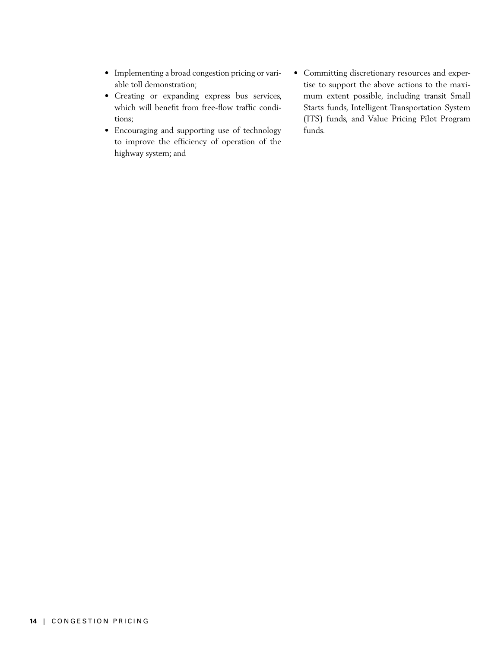- • Implementing a broad congestion pricing or variable toll demonstration;
- • Creating or expanding express bus services, which will benefit from free-flow traffic conditions;
- • Encouraging and supporting use of technology to improve the efficiency of operation of the highway system; and
- • Committing discretionary resources and expertise to support the above actions to the maximum extent possible, including transit Small Starts funds, Intelligent Transportation System (ITS) funds, and Value Pricing Pilot Program funds.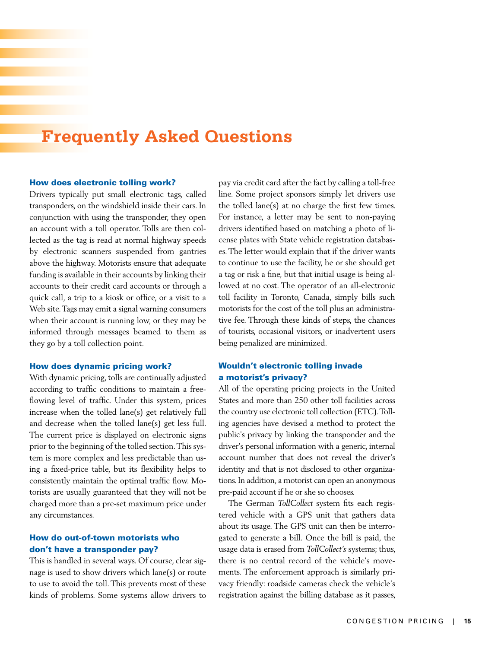# **Frequently Asked Questions**

#### How does electronic tolling work?

Drivers typically put small electronic tags, called transponders, on the windshield inside their cars. In conjunction with using the transponder, they open an account with a toll operator. Tolls are then collected as the tag is read at normal highway speeds by electronic scanners suspended from gantries above the highway. Motorists ensure that adequate funding is available in their accounts by linking their accounts to their credit card accounts or through a quick call, a trip to a kiosk or office, or a visit to a Web site. Tags may emit a signal warning consumers when their account is running low, or they may be informed through messages beamed to them as they go by a toll collection point.

#### How does dynamic pricing work?

With dynamic pricing, tolls are continually adjusted according to traffic conditions to maintain a freeflowing level of traffic. Under this system, prices increase when the tolled lane(s) get relatively full and decrease when the tolled lane(s) get less full. The current price is displayed on electronic signs prior to the beginning of the tolled section. This system is more complex and less predictable than using a fixed-price table, but its flexibility helps to consistently maintain the optimal traffic flow. Motorists are usually guaranteed that they will not be charged more than a pre-set maximum price under any circumstances.

### How do out-of-town motorists who don't have a transponder pay?

This is handled in several ways. Of course, clear signage is used to show drivers which lane(s) or route to use to avoid the toll. This prevents most of these kinds of problems. Some systems allow drivers to

pay via credit card after the fact by calling a toll-free line. Some project sponsors simply let drivers use the tolled lane(s) at no charge the first few times. For instance, a letter may be sent to non-paying drivers identified based on matching a photo of license plates with State vehicle registration databases. The letter would explain that if the driver wants to continue to use the facility, he or she should get a tag or risk a fine, but that initial usage is being allowed at no cost. The operator of an all-electronic toll facility in Toronto, Canada, simply bills such motorists for the cost of the toll plus an administrative fee. Through these kinds of steps, the chances of tourists, occasional visitors, or inadvertent users being penalized are minimized.

# Wouldn't electronic tolling invade a motorist's privacy?

All of the operating pricing projects in the United States and more than 250 other toll facilities across the country use electronic toll collection (ETC). Tolling agencies have devised a method to protect the public's privacy by linking the transponder and the driver's personal information with a generic, internal account number that does not reveal the driver's identity and that is not disclosed to other organizations. In addition, a motorist can open an anonymous pre-paid account if he or she so chooses.

The German *TollCollect* system fits each registered vehicle with a GPS unit that gathers data about its usage. The GPS unit can then be interrogated to generate a bill. Once the bill is paid, the usage data is erased from *TollCollect's* systems; thus, there is no central record of the vehicle's movements. The enforcement approach is similarly privacy friendly: roadside cameras check the vehicle's registration against the billing database as it passes,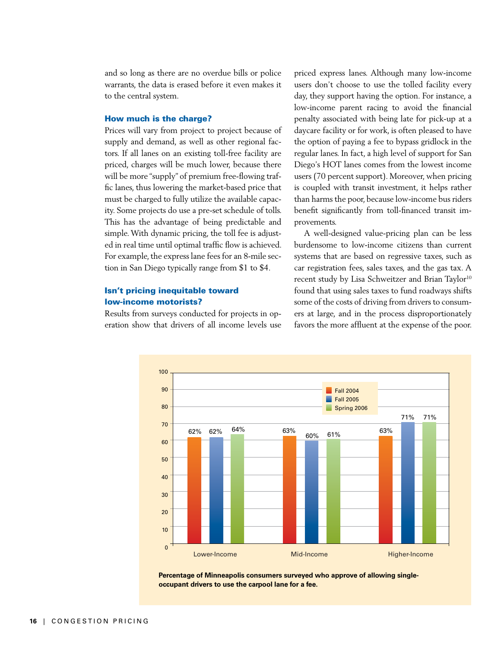and so long as there are no overdue bills or police warrants, the data is erased before it even makes it to the central system.

#### How much is the charge?

Prices will vary from project to project because of supply and demand, as well as other regional factors. If all lanes on an existing toll-free facility are priced, charges will be much lower, because there will be more "supply" of premium free-flowing traffic lanes, thus lowering the market-based price that must be charged to fully utilize the available capacity. Some projects do use a pre-set schedule of tolls. This has the advantage of being predictable and simple. With dynamic pricing, the toll fee is adjusted in real time until optimal traffic flow is achieved. For example, the express lane fees for an 8-mile section in San Diego typically range from \$1 to \$4.

# Isn't pricing inequitable toward low-income motorists?

Results from surveys conducted for projects in operation show that drivers of all income levels use priced express lanes. Although many low-income users don't choose to use the tolled facility every day, they support having the option. For instance, a low-income parent racing to avoid the financial penalty associated with being late for pick-up at a daycare facility or for work, is often pleased to have the option of paying a fee to bypass gridlock in the regular lanes. In fact, a high level of support for San Diego's HOT lanes comes from the lowest income users (70 percent support). Moreover, when pricing is coupled with transit investment, it helps rather than harms the poor, because low-income bus riders benefit significantly from toll-financed transit improvements.

A well-designed value-pricing plan can be less burdensome to low-income citizens than current systems that are based on regressive taxes, such as car registration fees, sales taxes, and the gas tax. A recent study by Lisa Schweitzer and Brian Taylor<sup>10</sup> found that using sales taxes to fund roadways shifts some of the costs of driving from drivers to consumers at large, and in the process disproportionately favors the more affluent at the expense of the poor.



**Percentage of Minneapolis consumers surveyed who approve of allowing singleoccupant drivers to use the carpool lane for a fee.**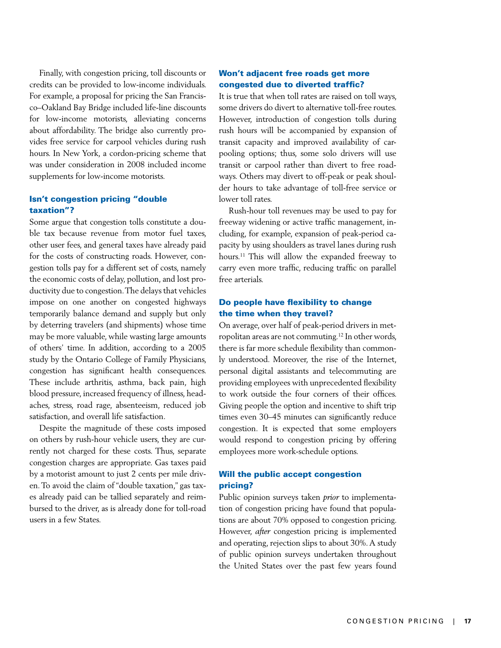Finally, with congestion pricing, toll discounts or credits can be provided to low-income individuals. For example, a proposal for pricing the San Francisco–Oakland Bay Bridge included life-line discounts for low-income motorists, alleviating concerns about affordability. The bridge also currently provides free service for carpool vehicles during rush hours. In New York, a cordon-pricing scheme that was under consideration in 2008 included income supplements for low-income motorists.

### Isn't congestion pricing "double taxation"?

Some argue that congestion tolls constitute a double tax because revenue from motor fuel taxes, other user fees, and general taxes have already paid for the costs of constructing roads. However, congestion tolls pay for a different set of costs, namely the economic costs of delay, pollution, and lost productivity due to congestion. The delays that vehicles impose on one another on congested highways temporarily balance demand and supply but only by deterring travelers (and shipments) whose time may be more valuable, while wasting large amounts of others' time. In addition, according to a 2005 study by the Ontario College of Family Physicians, congestion has significant health consequences. These include arthritis, asthma, back pain, high blood pressure, increased frequency of illness, headaches, stress, road rage, absenteeism, reduced job satisfaction, and overall life satisfaction.

Despite the magnitude of these costs imposed on others by rush-hour vehicle users, they are currently not charged for these costs. Thus, separate congestion charges are appropriate. Gas taxes paid by a motorist amount to just 2 cents per mile driven. To avoid the claim of "double taxation," gas taxes already paid can be tallied separately and reimbursed to the driver, as is already done for toll-road users in a few States.

### Won't adiacent free roads get more congested due to diverted traffic?

It is true that when toll rates are raised on toll ways, some drivers do divert to alternative toll-free routes. However, introduction of congestion tolls during rush hours will be accompanied by expansion of transit capacity and improved availability of carpooling options; thus, some solo drivers will use transit or carpool rather than divert to free roadways. Others may divert to off-peak or peak shoulder hours to take advantage of toll-free service or lower toll rates.

Rush-hour toll revenues may be used to pay for freeway widening or active traffic management, including, for example, expansion of peak-period capacity by using shoulders as travel lanes during rush hours.11 This will allow the expanded freeway to carry even more traffic, reducing traffic on parallel free arterials.

# Do people have flexibility to change the time when they travel?

On average, over half of peak-period drivers in metropolitan areas are not commuting.12 In other words, there is far more schedule flexibility than commonly understood. Moreover, the rise of the Internet, personal digital assistants and telecommuting are providing employees with unprecedented flexibility to work outside the four corners of their offices. Giving people the option and incentive to shift trip times even 30–45 minutes can significantly reduce congestion. It is expected that some employers would respond to congestion pricing by offering employees more work-schedule options.

# Will the public accept congestion pricing?

Public opinion surveys taken *prior* to implementation of congestion pricing have found that populations are about 70% opposed to congestion pricing. However, *after* congestion pricing is implemented and operating, rejection slips to about 30%. A study of public opinion surveys undertaken throughout the United States over the past few years found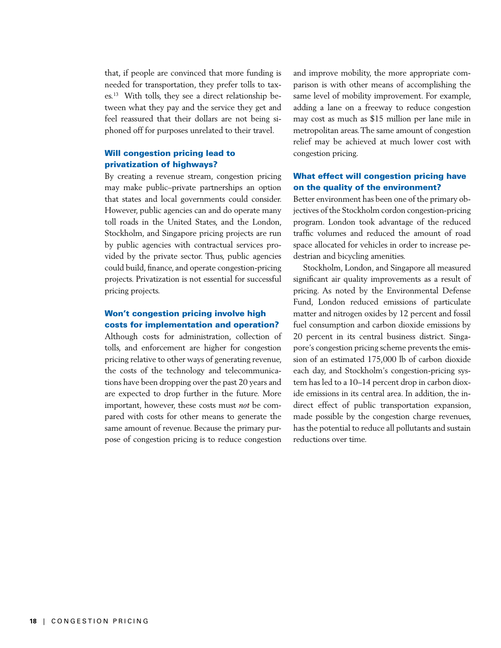that, if people are convinced that more funding is needed for transportation, they prefer tolls to taxes.13 With tolls, they see a direct relationship between what they pay and the service they get and feel reassured that their dollars are not being siphoned off for purposes unrelated to their travel.

# Will congestion pricing lead to privatization of highways?

By creating a revenue stream, congestion pricing may make public–private partnerships an option that states and local governments could consider. However, public agencies can and do operate many toll roads in the United States, and the London, Stockholm, and Singapore pricing projects are run by public agencies with contractual services provided by the private sector. Thus, public agencies could build, finance, and operate congestion-pricing projects. Privatization is not essential for successful pricing projects.

### Won't congestion pricing involve high costs for implementation and operation?

Although costs for administration, collection of tolls, and enforcement are higher for congestion pricing relative to other ways of generating revenue, the costs of the technology and telecommunications have been dropping over the past 20 years and are expected to drop further in the future. More important, however, these costs must *not* be compared with costs for other means to generate the same amount of revenue. Because the primary purpose of congestion pricing is to reduce congestion

and improve mobility, the more appropriate comparison is with other means of accomplishing the same level of mobility improvement. For example, adding a lane on a freeway to reduce congestion may cost as much as \$15 million per lane mile in metropolitan areas. The same amount of congestion relief may be achieved at much lower cost with congestion pricing.

# What effect will congestion pricing have on the quality of the environment?

Better environment has been one of the primary objectives of the Stockholm cordon congestion-pricing program. London took advantage of the reduced traffic volumes and reduced the amount of road space allocated for vehicles in order to increase pedestrian and bicycling amenities.

Stockholm, London, and Singapore all measured significant air quality improvements as a result of pricing. As noted by the Environmental Defense Fund, London reduced emissions of particulate matter and nitrogen oxides by 12 percent and fossil fuel consumption and carbon dioxide emissions by 20 percent in its central business district. Singapore's congestion pricing scheme prevents the emission of an estimated 175,000 lb of carbon dioxide each day, and Stockholm's congestion-pricing system has led to a 10–14 percent drop in carbon dioxide emissions in its central area. In addition, the indirect effect of public transportation expansion, made possible by the congestion charge revenues, has the potential to reduce all pollutants and sustain reductions over time.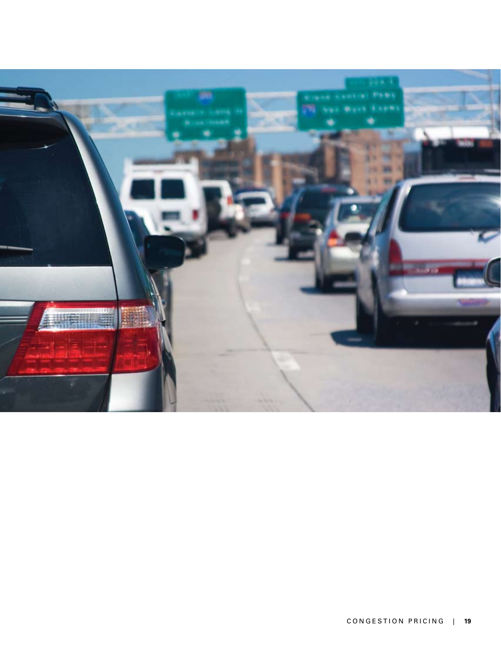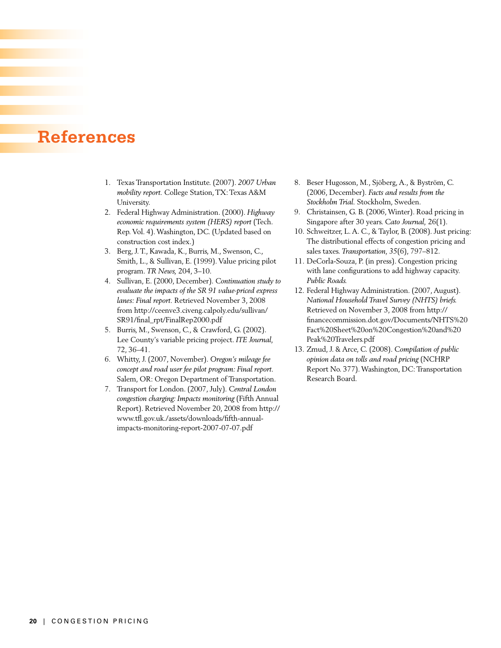# **References**

- 1. Texas Transportation Institute. (2007). *2007 Urban mobility report.* College Station, TX: Texas A&M University.
- 2. Federal Highway Administration. (2000). *Highway economic requirements system (HERS) report* (Tech. Rep. Vol. 4). Washington, DC. (Updated based on construction cost index.)
- 3. Berg, J. T., Kawada, K., Burris, M., Swenson, C., Smith, L., & Sullivan, E. (1999). Value pricing pilot program. *TR News,* 204, 3–10.
- 4. Sullivan, E. (2000, December). *Continuation study to evaluate the impacts of the SR 91 value-priced express lanes: Final report.* Retrieved November 3, 2008 from http://ceenve3.civeng.calpoly.edu/sullivan/ SR91/final\_rpt/FinalRep2000.pdf
- 5. Burris, M., Swenson, C., & Crawford, G. (2002). Lee County's variable pricing project. *ITE Journal,* 72, 36–41.
- 6. Whitty, J. (2007, November). *Oregon's mileage fee concept and road user fee pilot program: Final report.* Salem, OR: Oregon Department of Transportation.
- 7. Transport for London. (2007, July). *Central London congestion charging: Impacts monitoring* (Fifth Annual Report). Retrieved November 20, 2008 from http:// www.tfl.gov.uk./assets/downloads/fifth-annualimpacts-monitoring-report-2007-07-07.pdf
- 8. Beser Hugosson, M., Sjöberg, A., & Byström, C. (2006, December). *Facts and results from the Stockholm Trial.* Stockholm, Sweden.
- 9. Christainsen, G. B. (2006, Winter). Road pricing in Singapore after 30 years. *Cato Journal,* 26(1).
- 10. Schweitzer, L. A. C., & Taylor, B. (2008). Just pricing: The distributional effects of congestion pricing and sales taxes. *Transportation, 35*(6), 797–812.
- 11. DeCorla-Souza, P. (in press). Congestion pricing with lane configurations to add highway capacity. *Public Roads.*
- 12. Federal Highway Administration. (2007, August). *National Household Travel Survey (NHTS) briefs.*  Retrieved on November 3, 2008 from http:// financecommission.dot.gov/Documents/NHTS%20 Fact%20Sheet%20on%20Congestion%20and%20 Peak%20Travelers.pdf
- 13. Zmud, J. & Arce, C. (2008). *Compilation of public opinion data on tolls and road pricing* (NCHRP Report No. 377). Washington, DC: Transportation Research Board.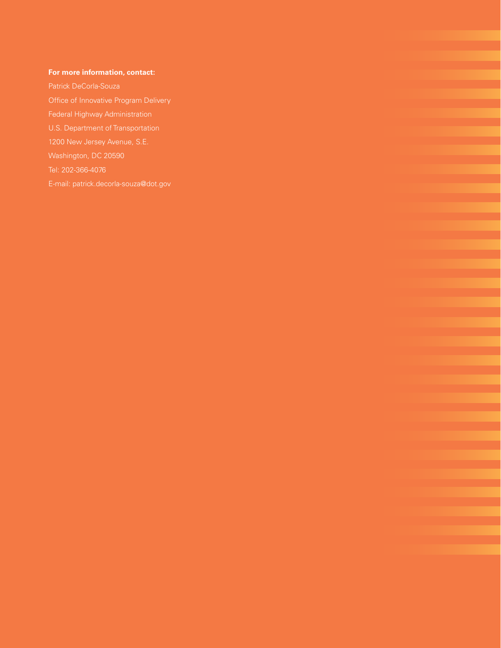### **For more information, contact:**

Patrick DeCorla-Souza Office of Innovative Program Delivery Federal Highway Administration Washington, DC 20590 Tel: 202-366-4076 E-mail: patrick.decorla-souza@dot.gov